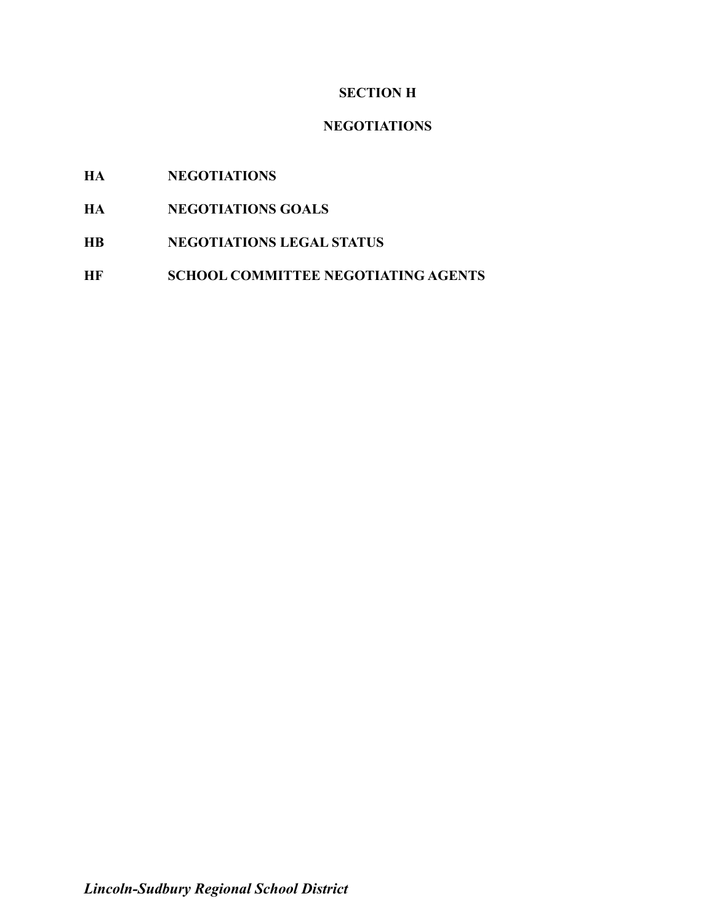## **SECTION H**

### **NEGOTIATIONS**

# **HA NEGOTIATIONS**

- **HA NEGOTIATIONS GOALS**
- **HB NEGOTIATIONS LEGAL STATUS**
- **HF SCHOOL COMMITTEE NEGOTIATING AGENTS**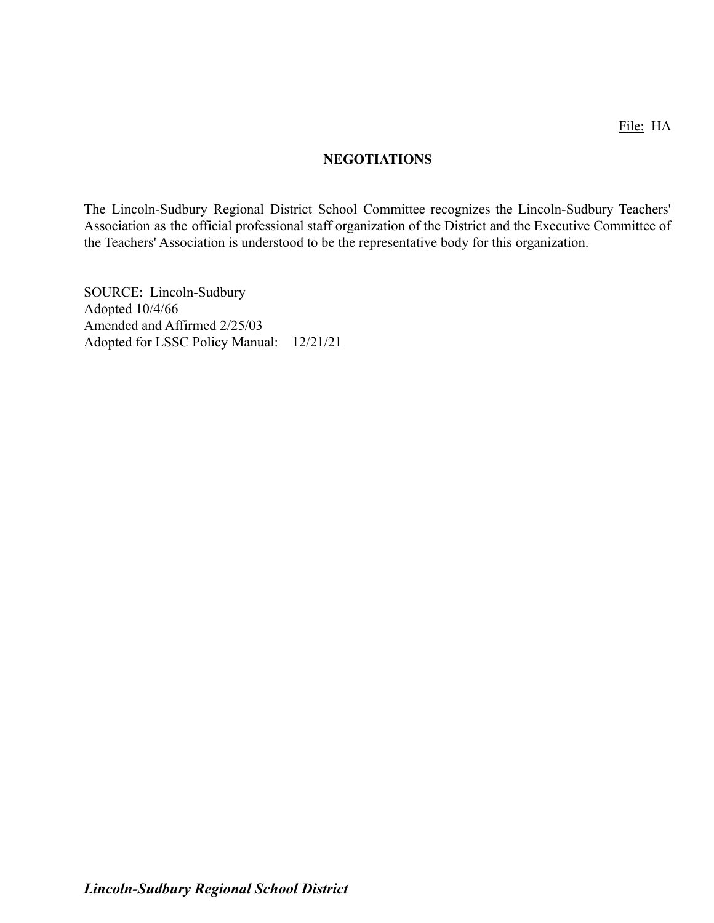#### **NEGOTIATIONS**

The Lincoln-Sudbury Regional District School Committee recognizes the Lincoln-Sudbury Teachers' Association as the official professional staff organization of the District and the Executive Committee of the Teachers' Association is understood to be the representative body for this organization.

SOURCE: Lincoln-Sudbury Adopted 10/4/66 Amended and Affirmed 2/25/03 Adopted for LSSC Policy Manual: 12/21/21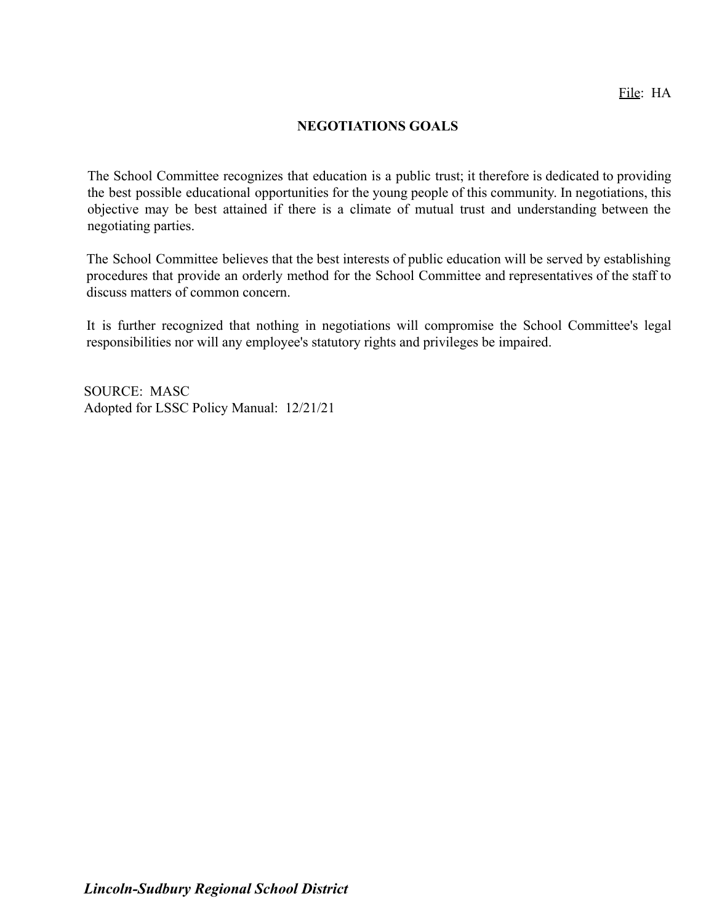#### **NEGOTIATIONS GOALS**

The School Committee recognizes that education is a public trust; it therefore is dedicated to providing the best possible educational opportunities for the young people of this community. In negotiations, this objective may be best attained if there is a climate of mutual trust and understanding between the negotiating parties.

The School Committee believes that the best interests of public education will be served by establishing procedures that provide an orderly method for the School Committee and representatives of the staff to discuss matters of common concern.

It is further recognized that nothing in negotiations will compromise the School Committee's legal responsibilities nor will any employee's statutory rights and privileges be impaired.

SOURCE: MASC Adopted for LSSC Policy Manual: 12/21/21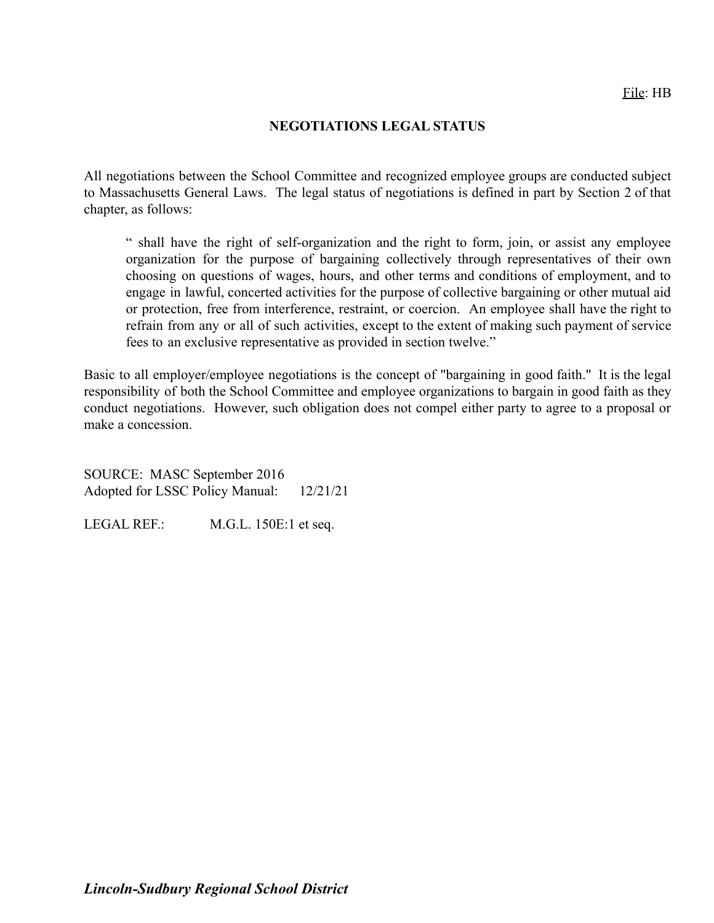#### **NEGOTIATIONS LEGAL STATUS**

All negotiations between the School Committee and recognized employee groups are conducted subject to Massachusetts General Laws. The legal status of negotiations is defined in part by Section 2 of that chapter, as follows:

" shall have the right of self-organization and the right to form, join, or assist any employee organization for the purpose of bargaining collectively through representatives of their own choosing on questions of wages, hours, and other terms and conditions of employment, and to engage in lawful, concerted activities for the purpose of collective bargaining or other mutual aid or protection, free from interference, restraint, or coercion. An employee shall have the right to refrain from any or all of such activities, except to the extent of making such payment of service fees to an exclusive representative as provided in section twelve."

Basic to all employer/employee negotiations is the concept of "bargaining in good faith." It is the legal responsibility of both the School Committee and employee organizations to bargain in good faith as they conduct negotiations. However, such obligation does not compel either party to agree to a proposal or make a concession.

SOURCE: MASC September 2016 Adopted for LSSC Policy Manual: 12/21/21

LEGAL REF.: M.G.L. 150E:1 et seq.